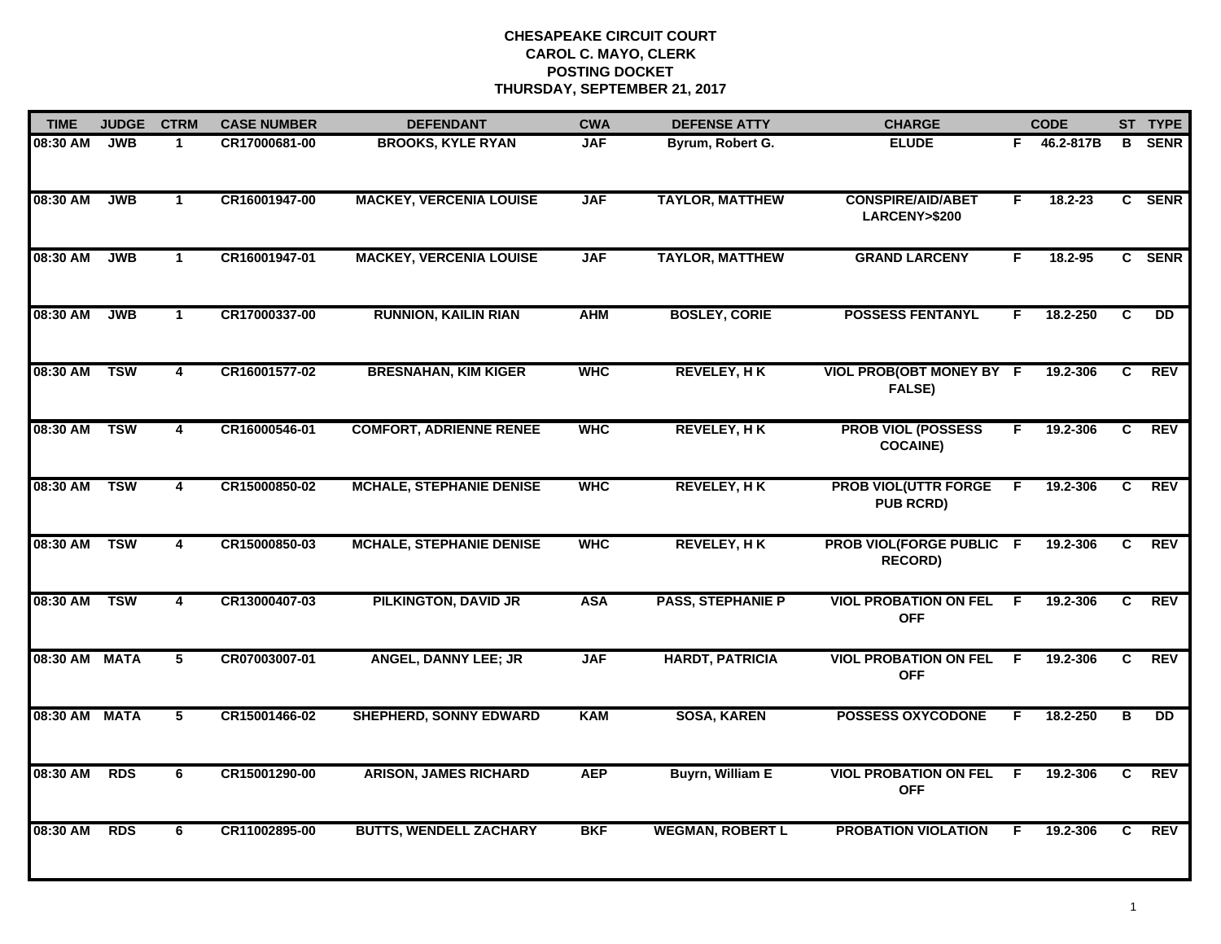| <b>TIME</b> | <b>JUDGE</b> | <b>CTRM</b>             | <b>CASE NUMBER</b> | <b>DEFENDANT</b>                | <b>CWA</b> | <b>DEFENSE ATTY</b>      | <b>CHARGE</b>                                     |                | <b>CODE</b> |                | ST TYPE     |
|-------------|--------------|-------------------------|--------------------|---------------------------------|------------|--------------------------|---------------------------------------------------|----------------|-------------|----------------|-------------|
| 08:30 AM    | <b>JWB</b>   | $\mathbf 1$             | CR17000681-00      | <b>BROOKS, KYLE RYAN</b>        | <b>JAF</b> | Byrum, Robert G.         | <b>ELUDE</b>                                      | F.             | 46.2-817B   | B              | <b>SENR</b> |
| 08:30 AM    | <b>JWB</b>   | $\mathbf{1}$            | CR16001947-00      | <b>MACKEY, VERCENIA LOUISE</b>  | <b>JAF</b> | <b>TAYLOR, MATTHEW</b>   | <b>CONSPIRE/AID/ABET</b><br>LARCENY>\$200         | F.             | $18.2 - 23$ |                | C SENR      |
| 08:30 AM    | <b>JWB</b>   | $\mathbf{1}$            | CR16001947-01      | <b>MACKEY, VERCENIA LOUISE</b>  | <b>JAF</b> | <b>TAYLOR, MATTHEW</b>   | <b>GRAND LARCENY</b>                              | F              | 18.2-95     |                | C SENR      |
| 08:30 AM    | <b>JWB</b>   | 1                       | CR17000337-00      | <b>RUNNION, KAILIN RIAN</b>     | <b>AHM</b> | <b>BOSLEY, CORIE</b>     | <b>POSSESS FENTANYL</b>                           | F.             | 18.2-250    | C              | DD          |
| 08:30 AM    | <b>TSW</b>   | 4                       | CR16001577-02      | <b>BRESNAHAN, KIM KIGER</b>     | <b>WHC</b> | <b>REVELEY, HK</b>       | VIOL PROB(OBT MONEY BY F<br>FALSE)                |                | 19.2-306    | C              | <b>REV</b>  |
| 08:30 AM    | <b>TSW</b>   | 4                       | CR16000546-01      | <b>COMFORT, ADRIENNE RENEE</b>  | <b>WHC</b> | <b>REVELEY, HK</b>       | <b>PROB VIOL (POSSESS</b><br><b>COCAINE)</b>      | F.             | 19.2-306    | C.             | <b>REV</b>  |
| 08:30 AM    | <b>TSW</b>   | $\overline{\mathbf{4}}$ | CR15000850-02      | <b>MCHALE, STEPHANIE DENISE</b> | <b>WHC</b> | <b>REVELEY, HK</b>       | <b>PROB VIOL(UTTR FORGE</b><br><b>PUB RCRD)</b>   | $\overline{F}$ | 19.2-306    | C              | <b>REV</b>  |
| 08:30 AM    | <b>TSW</b>   | 4                       | CR15000850-03      | <b>MCHALE, STEPHANIE DENISE</b> | <b>WHC</b> | <b>REVELEY, HK</b>       | <b>PROB VIOL(FORGE PUBLIC F</b><br><b>RECORD)</b> |                | 19.2-306    | C.             | <b>REV</b>  |
| 08:30 AM    | <b>TSW</b>   | 4                       | CR13000407-03      | <b>PILKINGTON, DAVID JR</b>     | <b>ASA</b> | <b>PASS, STEPHANIE P</b> | <b>VIOL PROBATION ON FEL</b><br><b>OFF</b>        | E              | 19.2-306    | C              | <b>REV</b>  |
| 08:30 AM    | <b>MATA</b>  | 5                       | CR07003007-01      | <b>ANGEL, DANNY LEE; JR</b>     | <b>JAF</b> | <b>HARDT, PATRICIA</b>   | <b>VIOL PROBATION ON FEL</b><br><b>OFF</b>        | F.             | 19.2-306    | C.             | <b>REV</b>  |
| 08:30 AM    | <b>MATA</b>  | 5                       | CR15001466-02      | <b>SHEPHERD, SONNY EDWARD</b>   | <b>KAM</b> | <b>SOSA, KAREN</b>       | <b>POSSESS OXYCODONE</b>                          | F.             | 18.2-250    | В              | DD          |
| 08:30 AM    | <b>RDS</b>   | 6                       | CR15001290-00      | <b>ARISON, JAMES RICHARD</b>    | <b>AEP</b> | <b>Buyrn, William E</b>  | <b>VIOL PROBATION ON FEL</b><br><b>OFF</b>        | F              | 19.2-306    | $\overline{c}$ | <b>REV</b>  |
| 08:30 AM    | <b>RDS</b>   | 6                       | CR11002895-00      | <b>BUTTS, WENDELL ZACHARY</b>   | <b>BKF</b> | <b>WEGMAN, ROBERT L</b>  | <b>PROBATION VIOLATION</b>                        | F.             | 19.2-306    | C.             | <b>REV</b>  |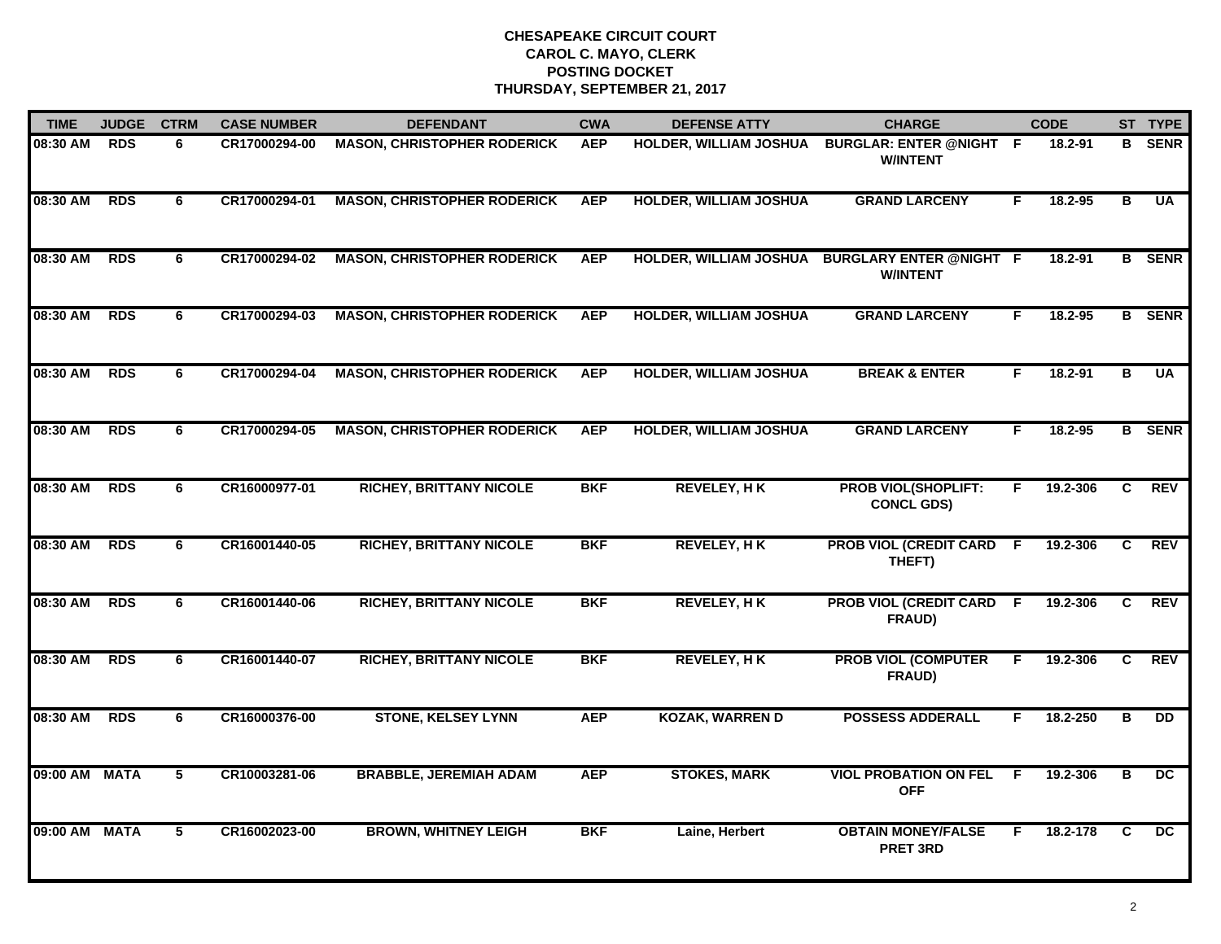| <b>TIME</b>   | <b>JUDGE</b> | <b>CTRM</b>    | <b>CASE NUMBER</b> | <b>DEFENDANT</b>                   | <b>CWA</b> | <b>DEFENSE ATTY</b>           | <b>CHARGE</b>                                                     |     | <b>CODE</b> |                         | ST TYPE         |
|---------------|--------------|----------------|--------------------|------------------------------------|------------|-------------------------------|-------------------------------------------------------------------|-----|-------------|-------------------------|-----------------|
| 08:30 AM      | <b>RDS</b>   | 6              | CR17000294-00      | <b>MASON, CHRISTOPHER RODERICK</b> | <b>AEP</b> | HOLDER, WILLIAM JOSHUA        | <b>BURGLAR: ENTER @NIGHT F</b><br><b>W/INTENT</b>                 |     | 18.2-91     | в                       | <b>SENR</b>     |
| 08:30 AM      | <b>RDS</b>   | 6              | CR17000294-01      | <b>MASON, CHRISTOPHER RODERICK</b> | <b>AEP</b> | <b>HOLDER, WILLIAM JOSHUA</b> | <b>GRAND LARCENY</b>                                              | F.  | 18.2-95     | В                       | <b>UA</b>       |
| 08:30 AM      | <b>RDS</b>   | 6              | CR17000294-02      | <b>MASON, CHRISTOPHER RODERICK</b> | <b>AEP</b> |                               | HOLDER, WILLIAM JOSHUA BURGLARY ENTER @NIGHT F<br><b>W/INTENT</b> |     | 18.2-91     |                         | <b>B</b> SENR   |
| 08:30 AM      | <b>RDS</b>   | 6              | CR17000294-03      | <b>MASON, CHRISTOPHER RODERICK</b> | <b>AEP</b> | <b>HOLDER, WILLIAM JOSHUA</b> | <b>GRAND LARCENY</b>                                              | F   | 18.2-95     |                         | <b>B</b> SENR   |
| 08:30 AM      | <b>RDS</b>   | 6              | CR17000294-04      | <b>MASON, CHRISTOPHER RODERICK</b> | <b>AEP</b> | <b>HOLDER, WILLIAM JOSHUA</b> | <b>BREAK &amp; ENTER</b>                                          | F.  | 18.2-91     | B                       | <b>UA</b>       |
| 08:30 AM      | <b>RDS</b>   | 6              | CR17000294-05      | <b>MASON, CHRISTOPHER RODERICK</b> | <b>AEP</b> | <b>HOLDER, WILLIAM JOSHUA</b> | <b>GRAND LARCENY</b>                                              | F.  | 18.2-95     |                         | <b>B</b> SENR   |
| 08:30 AM      | <b>RDS</b>   | 6              | CR16000977-01      | <b>RICHEY, BRITTANY NICOLE</b>     | <b>BKF</b> | <b>REVELEY, HK</b>            | <b>PROB VIOL(SHOPLIFT:</b><br><b>CONCL GDS)</b>                   | F   | 19.2-306    | $\overline{c}$          | <b>REV</b>      |
| 08:30 AM      | <b>RDS</b>   | 6              | CR16001440-05      | <b>RICHEY, BRITTANY NICOLE</b>     | <b>BKF</b> | <b>REVELEY, HK</b>            | <b>PROB VIOL (CREDIT CARD</b><br>THEFT)                           | - F | 19.2-306    | C                       | <b>REV</b>      |
| 08:30 AM      | <b>RDS</b>   | 6              | CR16001440-06      | <b>RICHEY, BRITTANY NICOLE</b>     | <b>BKF</b> | <b>REVELEY, HK</b>            | <b>PROB VIOL (CREDIT CARD F</b><br>FRAUD)                         |     | 19.2-306    | C.                      | <b>REV</b>      |
| 08:30 AM      | <b>RDS</b>   | 6              | CR16001440-07      | <b>RICHEY, BRITTANY NICOLE</b>     | <b>BKF</b> | <b>REVELEY, HK</b>            | <b>PROB VIOL (COMPUTER</b><br>FRAUD)                              | F.  | 19.2-306    | C.                      | <b>REV</b>      |
| 08:30 AM      | <b>RDS</b>   | 6              | CR16000376-00      | <b>STONE, KELSEY LYNN</b>          | <b>AEP</b> | <b>KOZAK, WARREN D</b>        | <b>POSSESS ADDERALL</b>                                           | F.  | 18.2-250    | в                       | <b>DD</b>       |
| 09:00 AM MATA |              | $\overline{5}$ | CR10003281-06      | <b>BRABBLE, JEREMIAH ADAM</b>      | <b>AEP</b> | <b>STOKES, MARK</b>           | <b>VIOL PROBATION ON FEL</b><br><b>OFF</b>                        | F.  | 19.2-306    | $\overline{\mathbf{B}}$ | $\overline{DC}$ |
| 09:00 AM MATA |              | 5              | CR16002023-00      | <b>BROWN, WHITNEY LEIGH</b>        | <b>BKF</b> | Laine, Herbert                | <b>OBTAIN MONEY/FALSE</b><br><b>PRET 3RD</b>                      | F.  | 18.2-178    | C                       | DC              |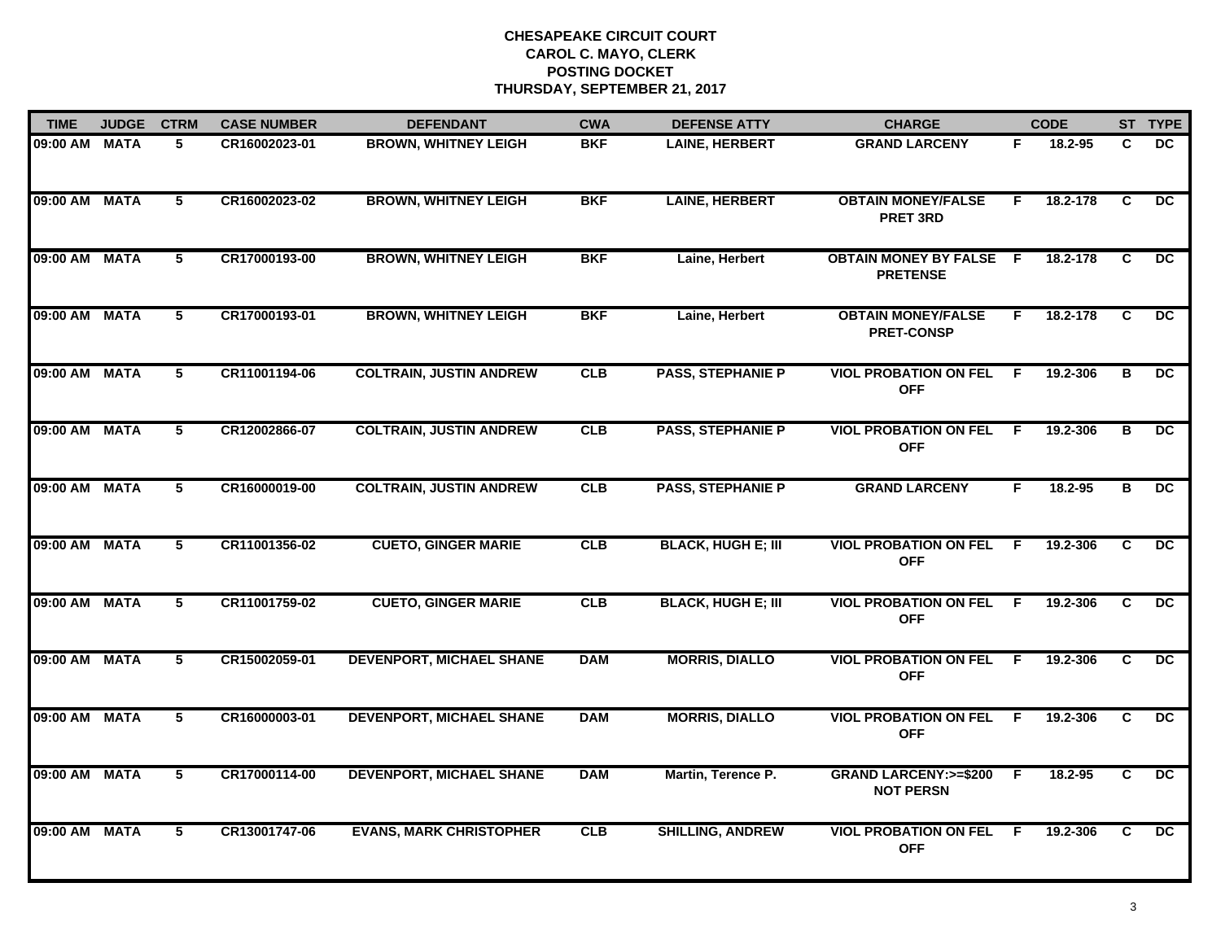| <b>TIME</b>   | <b>JUDGE</b> | <b>CTRM</b>     | <b>CASE NUMBER</b> | <b>DEFENDANT</b>                | <b>CWA</b> | <b>DEFENSE ATTY</b>       | <b>CHARGE</b>                                       |     | <b>CODE</b> |    | ST TYPE         |
|---------------|--------------|-----------------|--------------------|---------------------------------|------------|---------------------------|-----------------------------------------------------|-----|-------------|----|-----------------|
| 09:00 AM MATA |              | 5.              | CR16002023-01      | <b>BROWN, WHITNEY LEIGH</b>     | <b>BKF</b> | <b>LAINE, HERBERT</b>     | <b>GRAND LARCENY</b>                                | F.  | 18.2-95     | C  | DC.             |
| 09:00 AM MATA |              | $5\phantom{.0}$ | CR16002023-02      | <b>BROWN, WHITNEY LEIGH</b>     | <b>BKF</b> | <b>LAINE, HERBERT</b>     | <b>OBTAIN MONEY/FALSE</b><br><b>PRET 3RD</b>        | F.  | 18.2-178    | C  | $\overline{DC}$ |
| 09:00 AM MATA |              | 5               | CR17000193-00      | <b>BROWN, WHITNEY LEIGH</b>     | <b>BKF</b> | Laine, Herbert            | <b>OBTAIN MONEY BY FALSE F</b><br><b>PRETENSE</b>   |     | 18.2-178    | C  | DC.             |
| 09:00 AM MATA |              | 5               | CR17000193-01      | <b>BROWN, WHITNEY LEIGH</b>     | <b>BKF</b> | Laine, Herbert            | <b>OBTAIN MONEY/FALSE</b><br><b>PRET-CONSP</b>      | F.  | 18.2-178    | C. | DC.             |
| 09:00 AM MATA |              | 5               | CR11001194-06      | <b>COLTRAIN, JUSTIN ANDREW</b>  | CLB        | <b>PASS, STEPHANIE P</b>  | <b>VIOL PROBATION ON FEL</b><br><b>OFF</b>          | F.  | 19.2-306    | B  | <b>DC</b>       |
| 09:00 AM MATA |              | 5               | CR12002866-07      | <b>COLTRAIN, JUSTIN ANDREW</b>  | CLB        | <b>PASS, STEPHANIE P</b>  | <b>VIOL PROBATION ON FEL</b><br><b>OFF</b>          | - F | 19.2-306    | в  | DC.             |
| 09:00 AM MATA |              | $\overline{5}$  | CR16000019-00      | <b>COLTRAIN, JUSTIN ANDREW</b>  | CLB        | <b>PASS, STEPHANIE P</b>  | <b>GRAND LARCENY</b>                                | F.  | 18.2-95     | В  | DC              |
| 09:00 AM MATA |              | 5               | CR11001356-02      | <b>CUETO, GINGER MARIE</b>      | CLB        | <b>BLACK, HUGH E; III</b> | <b>VIOL PROBATION ON FEL</b><br><b>OFF</b>          | -F  | 19.2-306    | C. | DC.             |
| 09:00 AM MATA |              | 5               | CR11001759-02      | <b>CUETO, GINGER MARIE</b>      | CLB        | <b>BLACK, HUGH E; III</b> | <b>VIOL PROBATION ON FEL</b><br><b>OFF</b>          | - F | 19.2-306    | C. | DC              |
| 09:00 AM MATA |              | 5               | CR15002059-01      | <b>DEVENPORT, MICHAEL SHANE</b> | <b>DAM</b> | <b>MORRIS, DIALLO</b>     | <b>VIOL PROBATION ON FEL</b><br><b>OFF</b>          | - F | 19.2-306    | C. | <b>DC</b>       |
| 09:00 AM MATA |              | 5               | CR16000003-01      | <b>DEVENPORT, MICHAEL SHANE</b> | <b>DAM</b> | <b>MORRIS, DIALLO</b>     | <b>VIOL PROBATION ON FEL</b><br><b>OFF</b>          | F.  | 19.2-306    | C  | $\overline{DC}$ |
| 09:00 AM MATA |              | 5               | CR17000114-00      | <b>DEVENPORT, MICHAEL SHANE</b> | <b>DAM</b> | Martin, Terence P.        | <b>GRAND LARCENY:&gt;=\$200</b><br><b>NOT PERSN</b> | F.  | 18.2-95     | C. | $\overline{DC}$ |
| 09:00 AM MATA |              | 5               | CR13001747-06      | <b>EVANS, MARK CHRISTOPHER</b>  | CLB        | <b>SHILLING, ANDREW</b>   | <b>VIOL PROBATION ON FEL</b><br><b>OFF</b>          | -F  | 19.2-306    | C. | $\overline{DC}$ |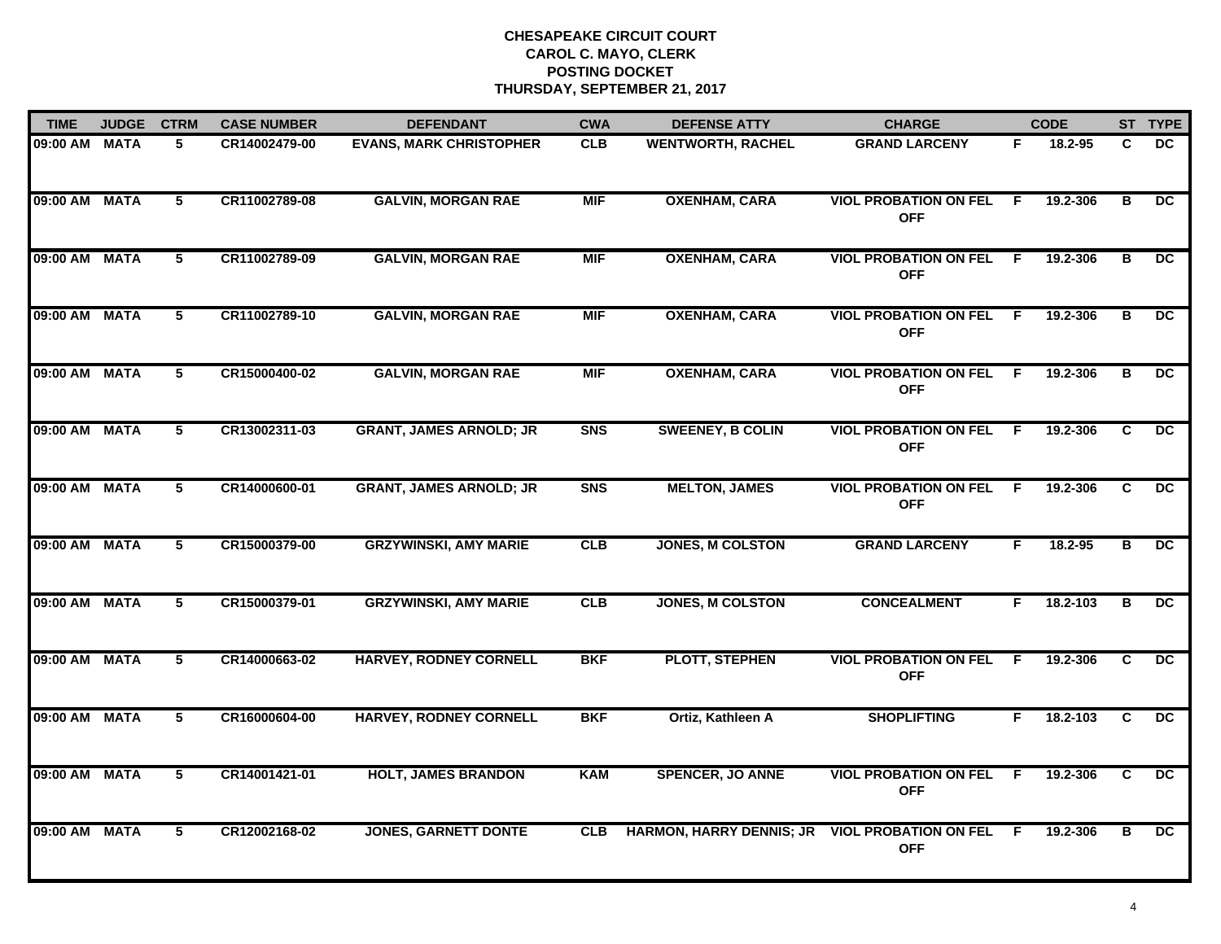| <b>TIME</b>   | <b>JUDGE</b> | <b>CTRM</b>     | <b>CASE NUMBER</b> | <b>DEFENDANT</b>               | <b>CWA</b> | <b>DEFENSE ATTY</b>             | <b>CHARGE</b>                              |    | <b>CODE</b> |                | ST TYPE         |
|---------------|--------------|-----------------|--------------------|--------------------------------|------------|---------------------------------|--------------------------------------------|----|-------------|----------------|-----------------|
| 09:00 AM MATA |              | 5               | CR14002479-00      | <b>EVANS, MARK CHRISTOPHER</b> | <b>CLB</b> | <b>WENTWORTH, RACHEL</b>        | <b>GRAND LARCENY</b>                       | F. | 18.2-95     | C.             | DC.             |
| 09:00 AM MATA |              | 5               | CR11002789-08      | <b>GALVIN, MORGAN RAE</b>      | <b>MIF</b> | <b>OXENHAM, CARA</b>            | <b>VIOL PROBATION ON FEL</b><br><b>OFF</b> | F. | 19.2-306    | В              | $\overline{DC}$ |
| 09:00 AM MATA |              | 5               | CR11002789-09      | <b>GALVIN, MORGAN RAE</b>      | <b>MIF</b> | <b>OXENHAM, CARA</b>            | <b>VIOL PROBATION ON FEL</b><br><b>OFF</b> | F. | 19.2-306    | в              | DC              |
| 09:00 AM MATA |              | 5               | CR11002789-10      | <b>GALVIN, MORGAN RAE</b>      | <b>MIF</b> | <b>OXENHAM, CARA</b>            | <b>VIOL PROBATION ON FEL</b><br><b>OFF</b> | -F | 19.2-306    | в              | <b>DC</b>       |
| 09:00 AM MATA |              | 5               | CR15000400-02      | <b>GALVIN, MORGAN RAE</b>      | <b>MIF</b> | <b>OXENHAM, CARA</b>            | <b>VIOL PROBATION ON FEL</b><br><b>OFF</b> | F. | 19.2-306    | В              | DC.             |
| 09:00 AM MATA |              | $5\phantom{.0}$ | CR13002311-03      | <b>GRANT, JAMES ARNOLD; JR</b> | <b>SNS</b> | <b>SWEENEY, B COLIN</b>         | <b>VIOL PROBATION ON FEL</b><br><b>OFF</b> | F. | 19.2-306    | C              | DC              |
| 09:00 AM MATA |              | 5               | CR14000600-01      | <b>GRANT, JAMES ARNOLD; JR</b> | <b>SNS</b> | <b>MELTON, JAMES</b>            | <b>VIOL PROBATION ON FEL</b><br><b>OFF</b> | F. | 19.2-306    | C.             | $\overline{DC}$ |
| 09:00 AM MATA |              | 5               | CR15000379-00      | <b>GRZYWINSKI, AMY MARIE</b>   | <b>CLB</b> | <b>JONES, M COLSTON</b>         | <b>GRAND LARCENY</b>                       | F. | 18.2-95     | в              | DC.             |
| 09:00 AM MATA |              | 5               | CR15000379-01      | <b>GRZYWINSKI, AMY MARIE</b>   | CLB        | <b>JONES, M COLSTON</b>         | <b>CONCEALMENT</b>                         | F. | 18.2-103    | в              | DC.             |
| 09:00 AM MATA |              | 5               | CR14000663-02      | <b>HARVEY, RODNEY CORNELL</b>  | <b>BKF</b> | <b>PLOTT, STEPHEN</b>           | <b>VIOL PROBATION ON FEL</b><br><b>OFF</b> | E  | 19.2-306    | C              | DC              |
| 09:00 AM MATA |              | 5               | CR16000604-00      | <b>HARVEY, RODNEY CORNELL</b>  | <b>BKF</b> | Ortiz, Kathleen A               | <b>SHOPLIFTING</b>                         | F. | 18.2-103    | C.             | DC              |
| 09:00 AM MATA |              | $\overline{5}$  | CR14001421-01      | <b>HOLT, JAMES BRANDON</b>     | <b>KAM</b> | <b>SPENCER, JO ANNE</b>         | <b>VIOL PROBATION ON FEL</b><br><b>OFF</b> | E  | 19.2-306    | $\overline{c}$ | $\overline{DC}$ |
| 09:00 AM MATA |              | 5               | CR12002168-02      | <b>JONES, GARNETT DONTE</b>    | <b>CLB</b> | <b>HARMON, HARRY DENNIS; JR</b> | <b>VIOL PROBATION ON FEL</b><br><b>OFF</b> | F  | 19.2-306    | в              | DC.             |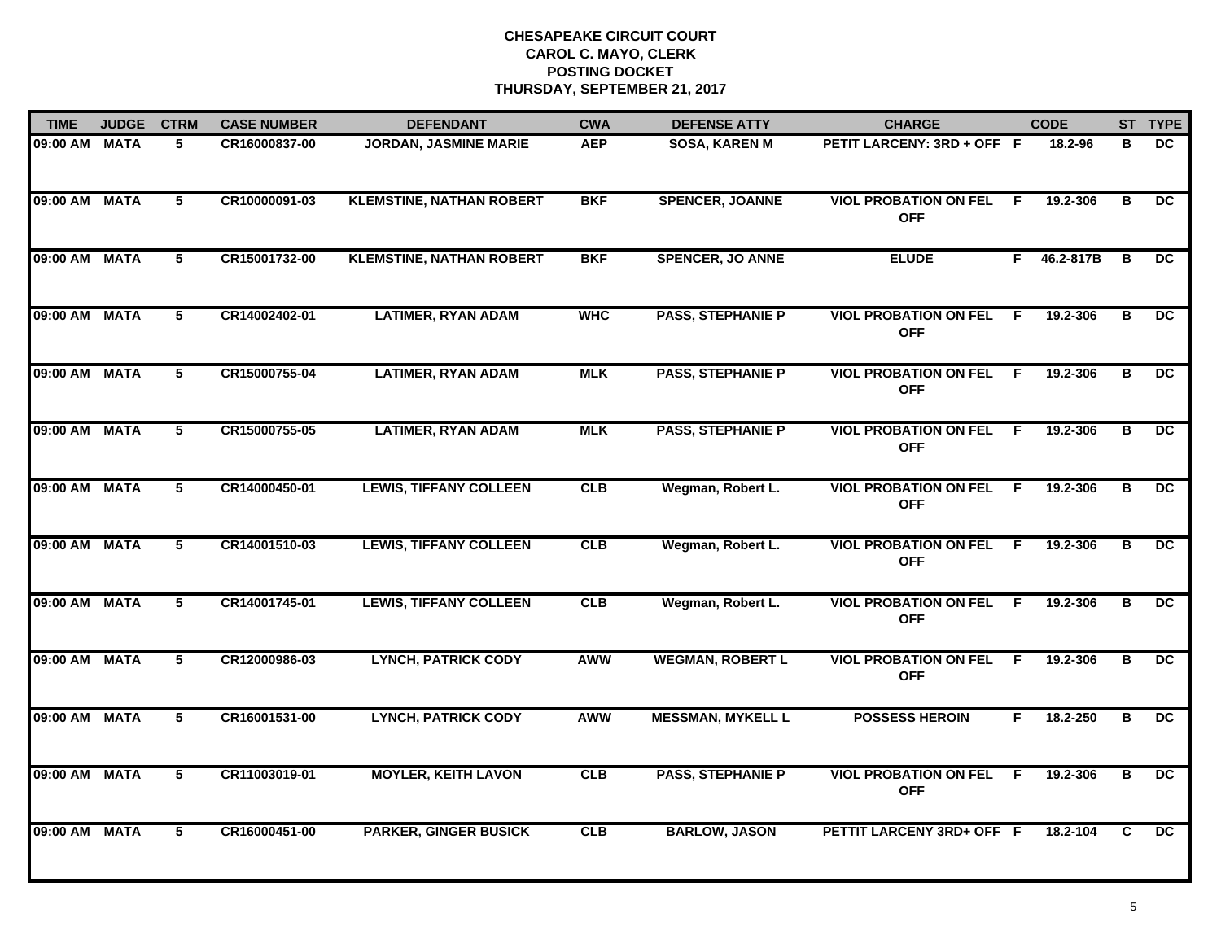| <b>TIME</b>   | <b>JUDGE</b> | <b>CTRM</b> | <b>CASE NUMBER</b> | <b>DEFENDANT</b>                | <b>CWA</b> | <b>DEFENSE ATTY</b>      | <b>CHARGE</b>                              |                | <b>CODE</b> |   | ST TYPE         |
|---------------|--------------|-------------|--------------------|---------------------------------|------------|--------------------------|--------------------------------------------|----------------|-------------|---|-----------------|
| 09:00 AM MATA |              | 5           | CR16000837-00      | JORDAN, JASMINE MARIE           | <b>AEP</b> | <b>SOSA, KAREN M</b>     | PETIT LARCENY: 3RD + OFF F                 |                | 18.2-96     | в | <b>DC</b>       |
| 09:00 AM MATA |              | 5           | CR10000091-03      | <b>KLEMSTINE, NATHAN ROBERT</b> | <b>BKF</b> | <b>SPENCER, JOANNE</b>   | <b>VIOL PROBATION ON FEL</b><br><b>OFF</b> | F.             | 19.2-306    | В | DC.             |
| 09:00 AM MATA |              | 5           | CR15001732-00      | <b>KLEMSTINE, NATHAN ROBERT</b> | <b>BKF</b> | <b>SPENCER, JO ANNE</b>  | <b>ELUDE</b>                               | F.             | 46.2-817B   | в | $\overline{DC}$ |
| 09:00 AM MATA |              | 5           | CR14002402-01      | <b>LATIMER, RYAN ADAM</b>       | <b>WHC</b> | <b>PASS, STEPHANIE P</b> | <b>VIOL PROBATION ON FEL</b><br><b>OFF</b> | -F             | 19.2-306    | B | <b>DC</b>       |
| 09:00 AM MATA |              | 5           | CR15000755-04      | <b>LATIMER, RYAN ADAM</b>       | <b>MLK</b> | <b>PASS, STEPHANIE P</b> | <b>VIOL PROBATION ON FEL</b><br><b>OFF</b> | -F             | 19.2-306    | в | <b>DC</b>       |
| 09:00 AM MATA |              | 5           | CR15000755-05      | <b>LATIMER, RYAN ADAM</b>       | <b>MLK</b> | <b>PASS, STEPHANIE P</b> | <b>VIOL PROBATION ON FEL</b><br><b>OFF</b> | F.             | 19.2-306    | в | DC.             |
| 09:00 AM MATA |              | $5^{-}$     | CR14000450-01      | <b>LEWIS, TIFFANY COLLEEN</b>   | CLB        | Wegman, Robert L.        | <b>VIOL PROBATION ON FEL</b><br><b>OFF</b> | $\overline{F}$ | 19.2-306    | В | $\overline{DC}$ |
| 09:00 AM MATA |              | 5           | CR14001510-03      | <b>LEWIS, TIFFANY COLLEEN</b>   | CLB        | Wegman, Robert L.        | <b>VIOL PROBATION ON FEL</b><br><b>OFF</b> | F.             | 19.2-306    | В | DC              |
| 09:00 AM MATA |              | 5           | CR14001745-01      | <b>LEWIS, TIFFANY COLLEEN</b>   | CLB        | Wegman, Robert L.        | <b>VIOL PROBATION ON FEL</b><br><b>OFF</b> | -F             | 19.2-306    | в | DC.             |
| 09:00 AM MATA |              | 5           | CR12000986-03      | <b>LYNCH, PATRICK CODY</b>      | <b>AWW</b> | <b>WEGMAN, ROBERT L</b>  | <b>VIOL PROBATION ON FEL</b><br><b>OFF</b> | -F             | 19.2-306    | В | <b>DC</b>       |
| 09:00 AM MATA |              | 5           | CR16001531-00      | <b>LYNCH, PATRICK CODY</b>      | <b>AWW</b> | <b>MESSMAN, MYKELL L</b> | <b>POSSESS HEROIN</b>                      | F.             | 18.2-250    | В | DC.             |
| 09:00 AM MATA |              | 5           | CR11003019-01      | <b>MOYLER, KEITH LAVON</b>      | CLB        | <b>PASS, STEPHANIE P</b> | <b>VIOL PROBATION ON FEL</b><br><b>OFF</b> | E              | 19.2-306    | в | $\overline{DC}$ |
| 09:00 AM MATA |              | 5.          | CR16000451-00      | <b>PARKER, GINGER BUSICK</b>    | CLB        | <b>BARLOW, JASON</b>     | PETTIT LARCENY 3RD+ OFF F                  |                | 18.2-104    | C | $\overline{DC}$ |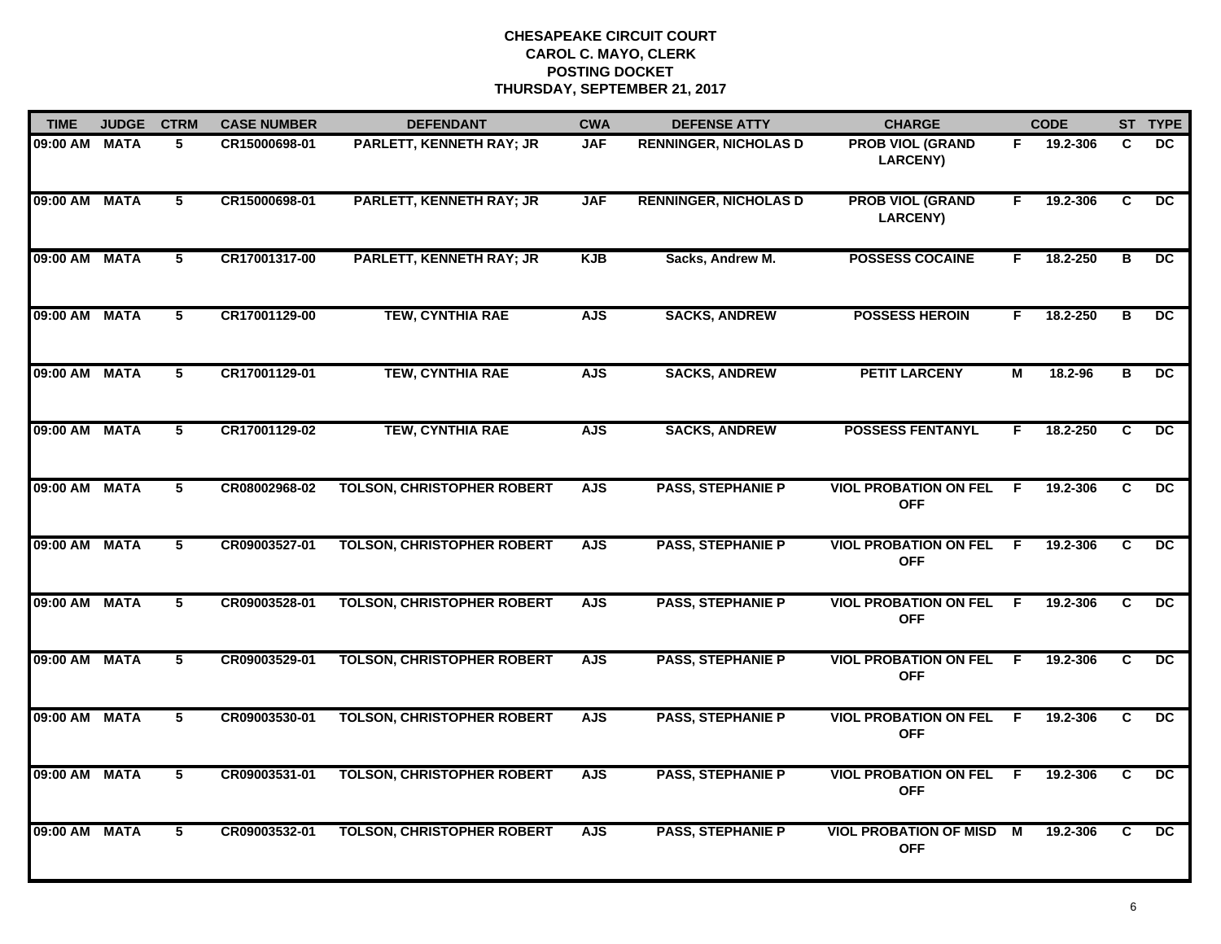| <b>TIME</b>   | <b>JUDGE</b> | <b>CTRM</b>    | <b>CASE NUMBER</b> | <b>DEFENDANT</b>                  | <b>CWA</b> | <b>DEFENSE ATTY</b>          | <b>CHARGE</b>                                |                | <b>CODE</b> |                | ST TYPE         |
|---------------|--------------|----------------|--------------------|-----------------------------------|------------|------------------------------|----------------------------------------------|----------------|-------------|----------------|-----------------|
| 09:00 AM MATA |              | 5              | CR15000698-01      | PARLETT, KENNETH RAY; JR          | <b>JAF</b> | <b>RENNINGER, NICHOLAS D</b> | <b>PROB VIOL (GRAND</b><br><b>LARCENY)</b>   | F.             | 19.2-306    | C              | DC.             |
| 09:00 AM MATA |              | 5              | CR15000698-01      | <b>PARLETT, KENNETH RAY; JR</b>   | <b>JAF</b> | <b>RENNINGER, NICHOLAS D</b> | <b>PROB VIOL (GRAND</b><br><b>LARCENY)</b>   | F.             | 19.2-306    | C              | DC.             |
| 09:00 AM MATA |              | 5              | CR17001317-00      | <b>PARLETT, KENNETH RAY; JR</b>   | <b>KJB</b> | Sacks, Andrew M.             | <b>POSSESS COCAINE</b>                       | F.             | 18.2-250    | B              | DC              |
| 09:00 AM MATA |              | 5              | CR17001129-00      | <b>TEW, CYNTHIA RAE</b>           | <b>AJS</b> | <b>SACKS, ANDREW</b>         | <b>POSSESS HEROIN</b>                        | F.             | 18.2-250    | в              | <b>DC</b>       |
| 09:00 AM MATA |              | 5              | CR17001129-01      | <b>TEW, CYNTHIA RAE</b>           | <b>AJS</b> | <b>SACKS, ANDREW</b>         | <b>PETIT LARCENY</b>                         | М              | 18.2-96     | В              | <b>DC</b>       |
| 09:00 AM MATA |              | 5              | CR17001129-02      | <b>TEW, CYNTHIA RAE</b>           | <b>AJS</b> | <b>SACKS, ANDREW</b>         | <b>POSSESS FENTANYL</b>                      | F.             | 18.2-250    | C              | DC.             |
| 09:00 AM MATA |              | 5              | CR08002968-02      | <b>TOLSON, CHRISTOPHER ROBERT</b> | <b>AJS</b> | <b>PASS, STEPHANIE P</b>     | <b>VIOL PROBATION ON FEL</b><br><b>OFF</b>   | $\overline{F}$ | 19.2-306    | $\overline{c}$ | $\overline{DC}$ |
| 09:00 AM MATA |              | 5              | CR09003527-01      | <b>TOLSON, CHRISTOPHER ROBERT</b> | <b>AJS</b> | <b>PASS, STEPHANIE P</b>     | <b>VIOL PROBATION ON FEL</b><br><b>OFF</b>   | $\mathsf{F}$   | 19.2-306    | C              | $\overline{DC}$ |
| 09:00 AM MATA |              | 5              | CR09003528-01      | <b>TOLSON, CHRISTOPHER ROBERT</b> | <b>AJS</b> | <b>PASS, STEPHANIE P</b>     | <b>VIOL PROBATION ON FEL</b><br><b>OFF</b>   | - F            | 19.2-306    | C              | DC.             |
| 09:00 AM MATA |              | 5              | CR09003529-01      | <b>TOLSON, CHRISTOPHER ROBERT</b> | <b>AJS</b> | <b>PASS, STEPHANIE P</b>     | <b>VIOL PROBATION ON FEL</b><br><b>OFF</b>   | - F            | 19.2-306    | C              | $\overline{DC}$ |
| 09:00 AM MATA |              | 5              | CR09003530-01      | <b>TOLSON, CHRISTOPHER ROBERT</b> | <b>AJS</b> | <b>PASS, STEPHANIE P</b>     | <b>VIOL PROBATION ON FEL F</b><br><b>OFF</b> |                | 19.2-306    | C              | DC              |
| 09:00 AM MATA |              | $\overline{5}$ | CR09003531-01      | <b>TOLSON, CHRISTOPHER ROBERT</b> | <b>AJS</b> | <b>PASS, STEPHANIE P</b>     | <b>VIOL PROBATION ON FEL</b><br><b>OFF</b>   | $\overline{F}$ | 19.2-306    | $\overline{c}$ | $\overline{DC}$ |
| 09:00 AM MATA |              | 5              | CR09003532-01      | <b>TOLSON, CHRISTOPHER ROBERT</b> | <b>AJS</b> | <b>PASS, STEPHANIE P</b>     | <b>VIOL PROBATION OF MISD</b><br><b>OFF</b>  | м              | 19.2-306    | C              | DC.             |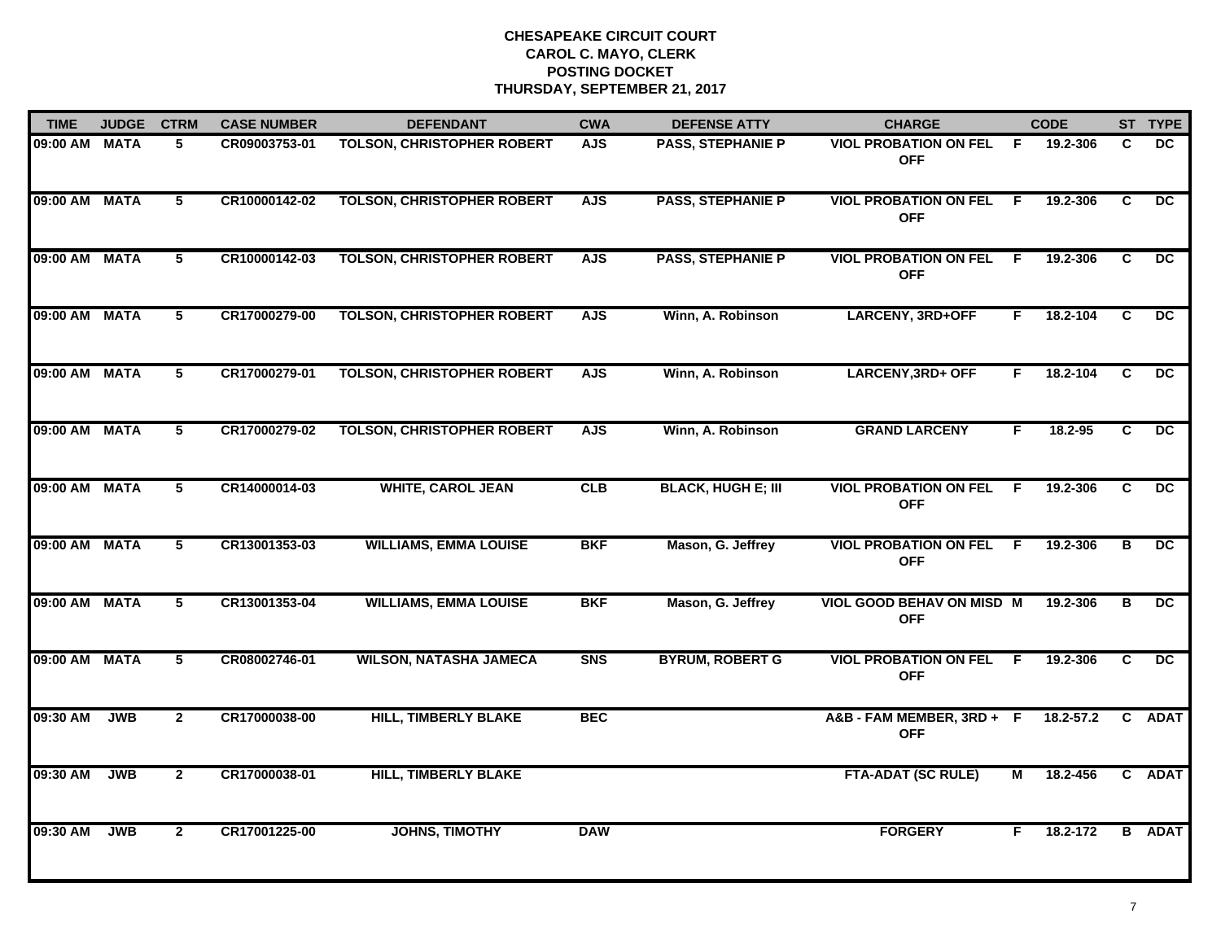| <b>TIME</b>   | <b>JUDGE</b> | <b>CTRM</b>    | <b>CASE NUMBER</b> | <b>DEFENDANT</b>                  | <b>CWA</b> | <b>DEFENSE ATTY</b>       | <b>CHARGE</b>                                  |                | <b>CODE</b>   |    | ST TYPE         |
|---------------|--------------|----------------|--------------------|-----------------------------------|------------|---------------------------|------------------------------------------------|----------------|---------------|----|-----------------|
| 09:00 AM MATA |              | 5              | CR09003753-01      | TOLSON, CHRISTOPHER ROBERT        | <b>AJS</b> | <b>PASS, STEPHANIE P</b>  | <b>VIOL PROBATION ON FEL</b><br><b>OFF</b>     | F.             | 19.2-306      | C  | DC              |
| 09:00 AM MATA |              | 5              | CR10000142-02      | <b>TOLSON, CHRISTOPHER ROBERT</b> | <b>AJS</b> | <b>PASS, STEPHANIE P</b>  | <b>VIOL PROBATION ON FEL</b><br><b>OFF</b>     | F.             | 19.2-306      | C  | $\overline{DC}$ |
| 09:00 AM MATA |              | 5              | CR10000142-03      | <b>TOLSON, CHRISTOPHER ROBERT</b> | <b>AJS</b> | <b>PASS, STEPHANIE P</b>  | <b>VIOL PROBATION ON FEL</b><br><b>OFF</b>     | F.             | 19.2-306      | C  | DC              |
| 09:00 AM MATA |              | 5              | CR17000279-00      | <b>TOLSON, CHRISTOPHER ROBERT</b> | <b>AJS</b> | Winn, A. Robinson         | <b>LARCENY, 3RD+OFF</b>                        | F.             | 18.2-104      | C. | DC.             |
| 09:00 AM MATA |              | 5              | CR17000279-01      | <b>TOLSON, CHRISTOPHER ROBERT</b> | <b>AJS</b> | Winn, A. Robinson         | <b>LARCENY, 3RD+ OFF</b>                       | F.             | 18.2-104      | C  | <b>DC</b>       |
| 09:00 AM MATA |              | 5              | CR17000279-02      | <b>TOLSON, CHRISTOPHER ROBERT</b> | <b>AJS</b> | Winn, A. Robinson         | <b>GRAND LARCENY</b>                           | F.             | 18.2-95       | C. | DC              |
| 09:00 AM MATA |              | $\overline{5}$ | CR14000014-03      | <b>WHITE, CAROL JEAN</b>          | CLB        | <b>BLACK, HUGH E; III</b> | <b>VIOL PROBATION ON FEL</b><br><b>OFF</b>     | $\overline{F}$ | 19.2-306      | C. | $\overline{DC}$ |
| 09:00 AM MATA |              | 5              | CR13001353-03      | <b>WILLIAMS, EMMA LOUISE</b>      | <b>BKF</b> | Mason, G. Jeffrey         | <b>VIOL PROBATION ON FEL</b><br><b>OFF</b>     | F.             | 19.2-306      | в  | DC              |
| 09:00 AM MATA |              | 5              | CR13001353-04      | <b>WILLIAMS, EMMA LOUISE</b>      | <b>BKF</b> | Mason, G. Jeffrey         | <b>VIOL GOOD BEHAV ON MISD M</b><br><b>OFF</b> |                | 19.2-306      | в  | DC.             |
| 09:00 AM MATA |              | 5              | CR08002746-01      | <b>WILSON, NATASHA JAMECA</b>     | <b>SNS</b> | <b>BYRUM, ROBERT G</b>    | <b>VIOL PROBATION ON FEL</b><br><b>OFF</b>     | F              | 19.2-306      | C. | DC              |
| 09:30 AM      | <b>JWB</b>   | $\mathbf{2}$   | CR17000038-00      | <b>HILL, TIMBERLY BLAKE</b>       | <b>BEC</b> |                           | A&B-FAM MEMBER, 3RD+F<br><b>OFF</b>            |                | $18.2 - 57.2$ | C. | <b>ADAT</b>     |
| 09:30 AM      | <b>JWB</b>   | $\mathbf{2}$   | CR17000038-01      | <b>HILL, TIMBERLY BLAKE</b>       |            |                           | <b>FTA-ADAT (SC RULE)</b>                      | М              | 18.2-456      |    | C ADAT          |
| 09:30 AM      | <b>JWB</b>   | $\mathbf{2}$   | CR17001225-00      | <b>JOHNS, TIMOTHY</b>             | <b>DAW</b> |                           | <b>FORGERY</b>                                 | F.             | 18.2-172      |    | <b>B</b> ADAT   |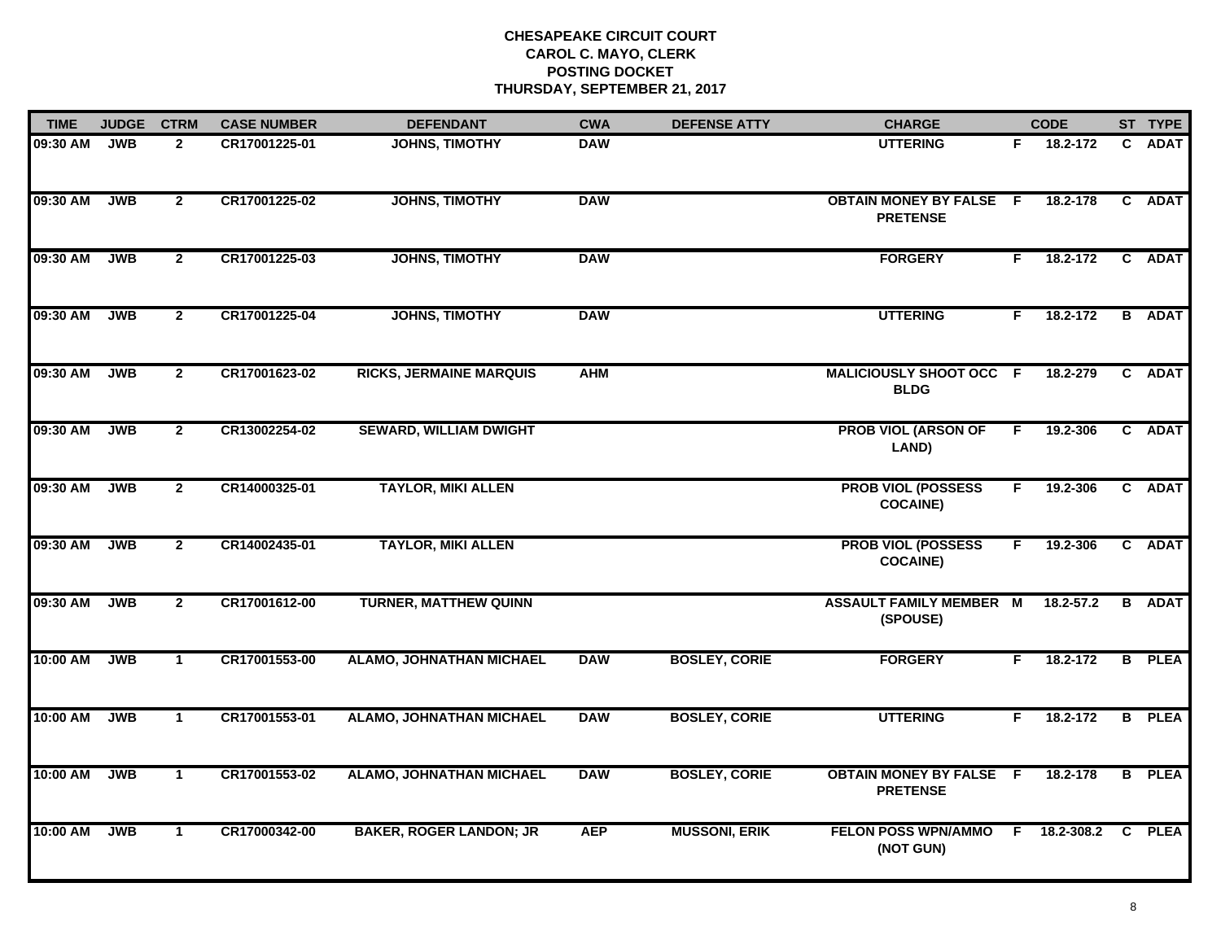| <b>TIME</b> | <b>JUDGE</b> | <b>CTRM</b>    | <b>CASE NUMBER</b> | <b>DEFENDANT</b>                | <b>CWA</b> | <b>DEFENSE ATTY</b>  | <b>CHARGE</b>                                     |    | <b>CODE</b>  |              | ST TYPE       |
|-------------|--------------|----------------|--------------------|---------------------------------|------------|----------------------|---------------------------------------------------|----|--------------|--------------|---------------|
| 09:30 AM    | <b>JWB</b>   | $\mathbf{2}$   | CR17001225-01      | <b>JOHNS, TIMOTHY</b>           | <b>DAW</b> |                      | <b>UTTERING</b>                                   | F. | 18.2-172     | $\mathbf{C}$ | <b>ADAT</b>   |
| 09:30 AM    | <b>JWB</b>   | $\overline{2}$ | CR17001225-02      | <b>JOHNS, TIMOTHY</b>           | <b>DAW</b> |                      | <b>OBTAIN MONEY BY FALSE F</b><br><b>PRETENSE</b> |    | 18.2-178     | $\mathbf{c}$ | <b>ADAT</b>   |
| 09:30 AM    | <b>JWB</b>   | $\overline{2}$ | CR17001225-03      | <b>JOHNS, TIMOTHY</b>           | <b>DAW</b> |                      | <b>FORGERY</b>                                    | F. | 18.2-172     |              | C ADAT        |
| 09:30 AM    | <b>JWB</b>   | $\mathbf{2}$   | CR17001225-04      | <b>JOHNS, TIMOTHY</b>           | <b>DAW</b> |                      | <b>UTTERING</b>                                   | F. | 18.2-172     |              | <b>B</b> ADAT |
| 09:30 AM    | <b>JWB</b>   | $\mathbf{2}$   | CR17001623-02      | <b>RICKS, JERMAINE MARQUIS</b>  | <b>AHM</b> |                      | MALICIOUSLY SHOOT OCC F<br><b>BLDG</b>            |    | 18.2-279     |              | C ADAT        |
| 09:30 AM    | <b>JWB</b>   | $\mathbf{2}$   | CR13002254-02      | <b>SEWARD, WILLIAM DWIGHT</b>   |            |                      | <b>PROB VIOL (ARSON OF</b><br>LAND)               | F. | 19.2-306     |              | C ADAT        |
| 09:30 AM    | <b>JWB</b>   | $\overline{2}$ | CR14000325-01      | <b>TAYLOR, MIKI ALLEN</b>       |            |                      | <b>PROB VIOL (POSSESS</b><br><b>COCAINE)</b>      | F  | 19.2-306     |              | C ADAT        |
| 09:30 AM    | <b>JWB</b>   | $\overline{2}$ | CR14002435-01      | <b>TAYLOR, MIKI ALLEN</b>       |            |                      | <b>PROB VIOL (POSSESS</b><br><b>COCAINE)</b>      | F. | 19.2-306     |              | C ADAT        |
| 09:30 AM    | <b>JWB</b>   | $\mathbf{2}$   | CR17001612-00      | <b>TURNER, MATTHEW QUINN</b>    |            |                      | <b>ASSAULT FAMILY MEMBER M</b><br>(SPOUSE)        |    | 18.2-57.2    |              | <b>B</b> ADAT |
| 10:00 AM    | <b>JWB</b>   | $\mathbf{1}$   | CR17001553-00      | <b>ALAMO, JOHNATHAN MICHAEL</b> | <b>DAW</b> | <b>BOSLEY, CORIE</b> | <b>FORGERY</b>                                    | F. | $18.2 - 172$ |              | <b>B</b> PLEA |
| 10:00 AM    | <b>JWB</b>   | $\mathbf{1}$   | CR17001553-01      | <b>ALAMO, JOHNATHAN MICHAEL</b> | <b>DAW</b> | <b>BOSLEY, CORIE</b> | <b>UTTERING</b>                                   | F. | 18.2-172     |              | <b>B</b> PLEA |
| 10:00 AM    | <b>JWB</b>   | $\mathbf{1}$   | CR17001553-02      | ALAMO, JOHNATHAN MICHAEL        | <b>DAW</b> | <b>BOSLEY, CORIE</b> | <b>OBTAIN MONEY BY FALSE F</b><br><b>PRETENSE</b> |    | 18.2-178     |              | <b>B</b> PLEA |
| 10:00 AM    | <b>JWB</b>   | $\mathbf{1}$   | CR17000342-00      | <b>BAKER, ROGER LANDON; JR</b>  | <b>AEP</b> | <b>MUSSONI, ERIK</b> | <b>FELON POSS WPN/AMMO</b><br>(NOT GUN)           |    | F 18.2-308.2 |              | C PLEA        |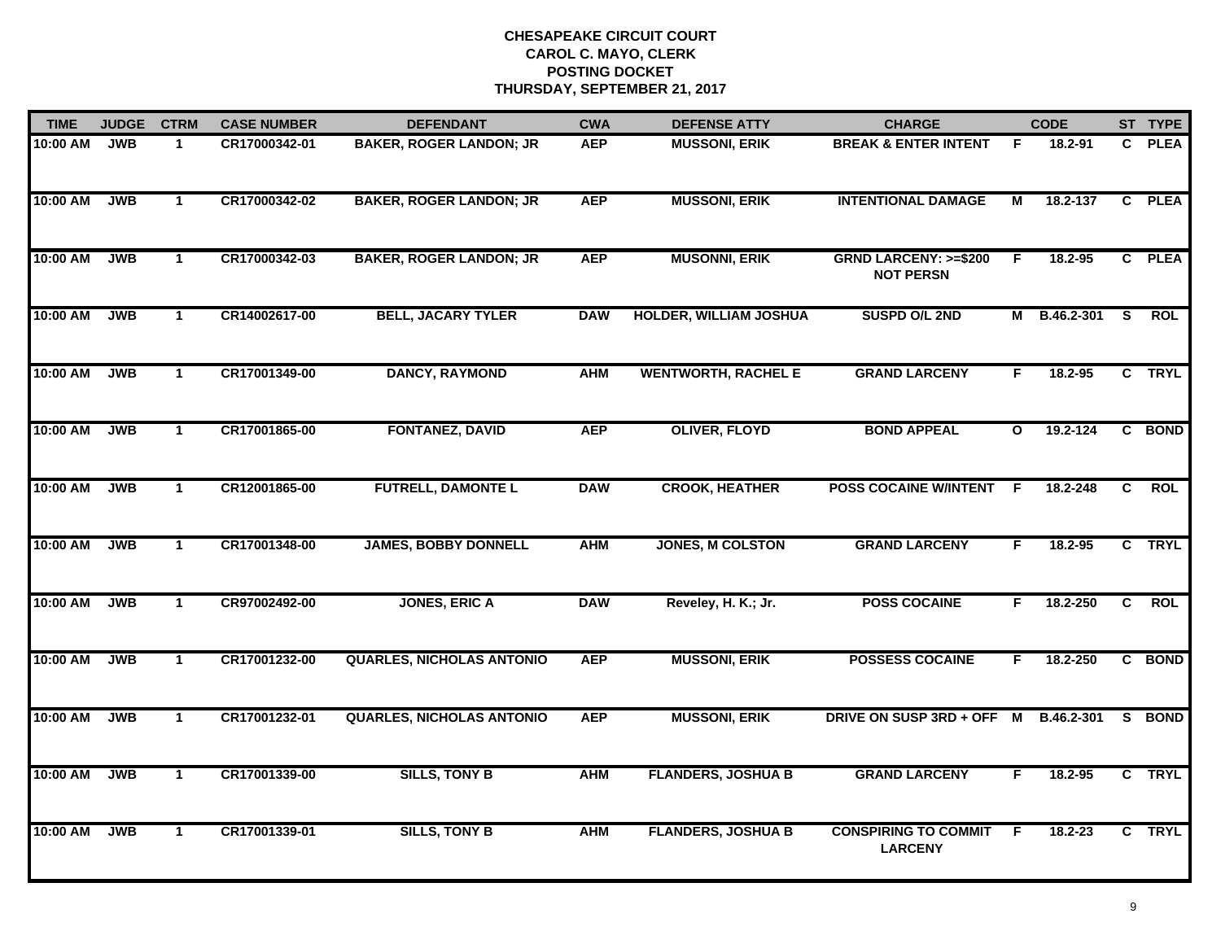| <b>TIME</b> | <b>JUDGE</b> | <b>CTRM</b>  | <b>CASE NUMBER</b> | <b>DEFENDANT</b>                 | <b>CWA</b> | <b>DEFENSE ATTY</b>           | <b>CHARGE</b>                                       |              | <b>CODE</b> |                | ST TYPE     |
|-------------|--------------|--------------|--------------------|----------------------------------|------------|-------------------------------|-----------------------------------------------------|--------------|-------------|----------------|-------------|
| 10:00 AM    | <b>JWB</b>   | $\mathbf{1}$ | CR17000342-01      | <b>BAKER, ROGER LANDON; JR</b>   | <b>AEP</b> | <b>MUSSONI, ERIK</b>          | <b>BREAK &amp; ENTER INTENT</b>                     | F            | 18.2-91     | C.             | <b>PLEA</b> |
| 10:00 AM    | <b>JWB</b>   | $\mathbf{1}$ | CR17000342-02      | <b>BAKER, ROGER LANDON; JR</b>   | <b>AEP</b> | <b>MUSSONI, ERIK</b>          | <b>INTENTIONAL DAMAGE</b>                           | М            | 18.2-137    | C              | <b>PLEA</b> |
| 10:00 AM    | <b>JWB</b>   | $\mathbf{1}$ | CR17000342-03      | <b>BAKER, ROGER LANDON; JR</b>   | <b>AEP</b> | <b>MUSONNI, ERIK</b>          | <b>GRND LARCENY: &gt;=\$200</b><br><b>NOT PERSN</b> | E            | 18.2-95     |                | C PLEA      |
| 10:00 AM    | <b>JWB</b>   | 1            | CR14002617-00      | <b>BELL, JACARY TYLER</b>        | <b>DAW</b> | <b>HOLDER, WILLIAM JOSHUA</b> | SUSPD O/L 2ND                                       | М            | B.46.2-301  | S.             | <b>ROL</b>  |
| 10:00 AM    | <b>JWB</b>   | $\mathbf{1}$ | CR17001349-00      | <b>DANCY, RAYMOND</b>            | <b>AHM</b> | <b>WENTWORTH, RACHEL E</b>    | <b>GRAND LARCENY</b>                                | F.           | 18.2-95     |                | C TRYL      |
| 10:00 AM    | <b>JWB</b>   | $\mathbf 1$  | CR17001865-00      | <b>FONTANEZ, DAVID</b>           | <b>AEP</b> | <b>OLIVER, FLOYD</b>          | <b>BOND APPEAL</b>                                  | $\mathbf{o}$ | 19.2-124    |                | C BOND      |
| 10:00 AM    | <b>JWB</b>   | $\mathbf{1}$ | CR12001865-00      | <b>FUTRELL, DAMONTE L</b>        | <b>DAW</b> | <b>CROOK, HEATHER</b>         | <b>POSS COCAINE W/INTENT</b>                        | - F          | 18.2-248    | $\overline{c}$ | <b>ROL</b>  |
| 10:00 AM    | <b>JWB</b>   | $\mathbf{1}$ | CR17001348-00      | <b>JAMES, BOBBY DONNELL</b>      | <b>AHM</b> | <b>JONES, M COLSTON</b>       | <b>GRAND LARCENY</b>                                | F            | 18.2-95     |                | C TRYL      |
| 10:00 AM    | <b>JWB</b>   | $\mathbf 1$  | CR97002492-00      | <b>JONES, ERIC A</b>             | <b>DAW</b> | Reveley, H. K.; Jr.           | <b>POSS COCAINE</b>                                 | F            | 18.2-250    | C              | <b>ROL</b>  |
| 10:00 AM    | <b>JWB</b>   | $\mathbf{1}$ | CR17001232-00      | <b>QUARLES, NICHOLAS ANTONIO</b> | <b>AEP</b> | <b>MUSSONI, ERIK</b>          | <b>POSSESS COCAINE</b>                              | F            | 18.2-250    |                | C BOND      |
| 10:00 AM    | <b>JWB</b>   | $\mathbf 1$  | CR17001232-01      | <b>QUARLES, NICHOLAS ANTONIO</b> | <b>AEP</b> | <b>MUSSONI, ERIK</b>          | DRIVE ON SUSP 3RD + OFF M                           |              | B.46.2-301  | S.             | <b>BOND</b> |
| 10:00 AM    | <b>JWB</b>   | $\mathbf{1}$ | CR17001339-00      | <b>SILLS, TONY B</b>             | <b>AHM</b> | <b>FLANDERS, JOSHUA B</b>     | <b>GRAND LARCENY</b>                                | F            | 18.2-95     |                | C TRYL      |
| 10:00 AM    | <b>JWB</b>   | $\mathbf 1$  | CR17001339-01      | <b>SILLS, TONY B</b>             | <b>AHM</b> | <b>FLANDERS, JOSHUA B</b>     | <b>CONSPIRING TO COMMIT</b><br><b>LARCENY</b>       | F            | 18.2-23     |                | C TRYL      |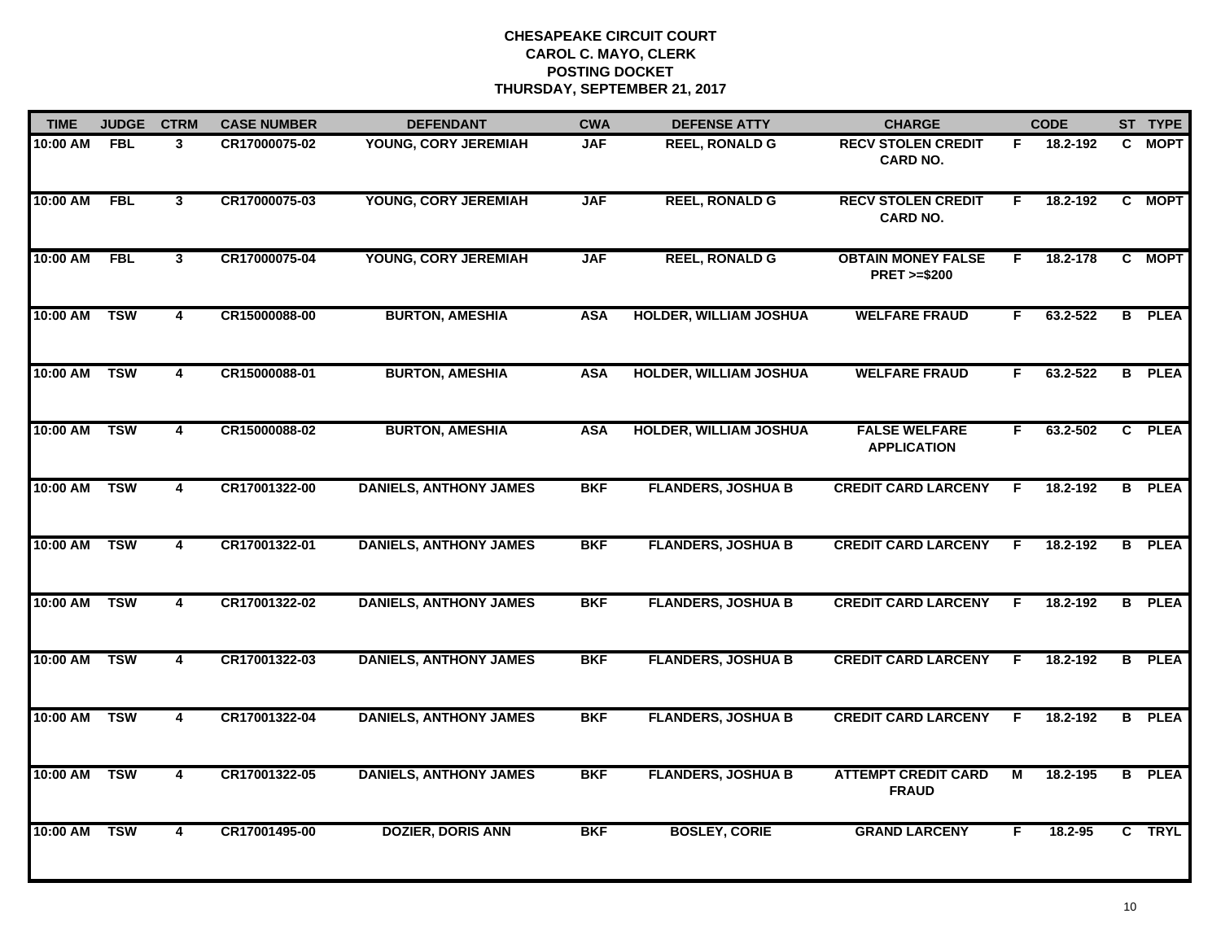| <b>TIME</b> | <b>JUDGE</b> | <b>CTRM</b>             | <b>CASE NUMBER</b> | <b>DEFENDANT</b>              | <b>CWA</b> | <b>DEFENSE ATTY</b>           | <b>CHARGE</b>                                       |                | <b>CODE</b> |    | ST TYPE       |
|-------------|--------------|-------------------------|--------------------|-------------------------------|------------|-------------------------------|-----------------------------------------------------|----------------|-------------|----|---------------|
| 10:00 AM    | <b>FBL</b>   | 3                       | CR17000075-02      | YOUNG, CORY JEREMIAH          | <b>JAF</b> | <b>REEL, RONALD G</b>         | <b>RECV STOLEN CREDIT</b><br><b>CARD NO.</b>        | F.             | 18.2-192    | C. | <b>MOPT</b>   |
| 10:00 AM    | <b>FBL</b>   | $\mathbf{3}$            | CR17000075-03      | YOUNG, CORY JEREMIAH          | <b>JAF</b> | <b>REEL, RONALD G</b>         | <b>RECV STOLEN CREDIT</b><br><b>CARD NO.</b>        | F.             | 18.2-192    | C. | <b>MOPT</b>   |
| 10:00 AM    | <b>FBL</b>   | 3                       | CR17000075-04      | YOUNG, CORY JEREMIAH          | <b>JAF</b> | <b>REEL, RONALD G</b>         | <b>OBTAIN MONEY FALSE</b><br><b>PRET &gt;=\$200</b> | F.             | 18.2-178    |    | C MOPT        |
| 10:00 AM    | <b>TSW</b>   | 4                       | CR15000088-00      | <b>BURTON, AMESHIA</b>        | <b>ASA</b> | <b>HOLDER, WILLIAM JOSHUA</b> | <b>WELFARE FRAUD</b>                                | F              | 63.2-522    |    | <b>B</b> PLEA |
| 10:00 AM    | <b>TSW</b>   | $\overline{4}$          | CR15000088-01      | <b>BURTON, AMESHIA</b>        | <b>ASA</b> | <b>HOLDER, WILLIAM JOSHUA</b> | <b>WELFARE FRAUD</b>                                | F.             | 63.2-522    |    | <b>B</b> PLEA |
| 10:00 AM    | <b>TSW</b>   | 4                       | CR15000088-02      | <b>BURTON, AMESHIA</b>        | <b>ASA</b> | <b>HOLDER, WILLIAM JOSHUA</b> | <b>FALSE WELFARE</b><br><b>APPLICATION</b>          | F.             | 63.2-502    |    | C PLEA        |
| 10:00 AM    | <b>TSW</b>   | $\overline{4}$          | CR17001322-00      | <b>DANIELS, ANTHONY JAMES</b> | <b>BKF</b> | <b>FLANDERS, JOSHUA B</b>     | <b>CREDIT CARD LARCENY</b>                          | F.             | 18.2-192    |    | <b>B</b> PLEA |
| 10:00 AM    | <b>TSW</b>   | 4                       | CR17001322-01      | <b>DANIELS, ANTHONY JAMES</b> | <b>BKF</b> | <b>FLANDERS, JOSHUA B</b>     | <b>CREDIT CARD LARCENY</b>                          | F              | 18.2-192    |    | <b>B</b> PLEA |
| 10:00 AM    | <b>TSW</b>   | 4                       | CR17001322-02      | <b>DANIELS, ANTHONY JAMES</b> | <b>BKF</b> | <b>FLANDERS, JOSHUA B</b>     | <b>CREDIT CARD LARCENY</b>                          | F              | 18.2-192    |    | <b>B</b> PLEA |
| 10:00 AM    | <b>TSW</b>   | $\overline{\mathbf{4}}$ | CR17001322-03      | <b>DANIELS, ANTHONY JAMES</b> | <b>BKF</b> | <b>FLANDERS, JOSHUA B</b>     | <b>CREDIT CARD LARCENY</b>                          | F              | 18.2-192    |    | <b>B</b> PLEA |
| 10:00 AM    | <b>TSW</b>   | 4                       | CR17001322-04      | <b>DANIELS, ANTHONY JAMES</b> | <b>BKF</b> | <b>FLANDERS, JOSHUA B</b>     | <b>CREDIT CARD LARCENY</b>                          | F              | 18.2-192    |    | <b>B</b> PLEA |
| 10:00 AM    | <b>TSW</b>   | $\overline{\mathbf{4}}$ | CR17001322-05      | <b>DANIELS, ANTHONY JAMES</b> | <b>BKF</b> | <b>FLANDERS, JOSHUA B</b>     | <b>ATTEMPT CREDIT CARD</b><br><b>FRAUD</b>          | $\overline{M}$ | 18.2-195    |    | <b>B</b> PLEA |
| 10:00 AM    | <b>TSW</b>   | 4                       | CR17001495-00      | <b>DOZIER, DORIS ANN</b>      | <b>BKF</b> | <b>BOSLEY, CORIE</b>          | <b>GRAND LARCENY</b>                                | F              | 18.2-95     |    | C TRYL        |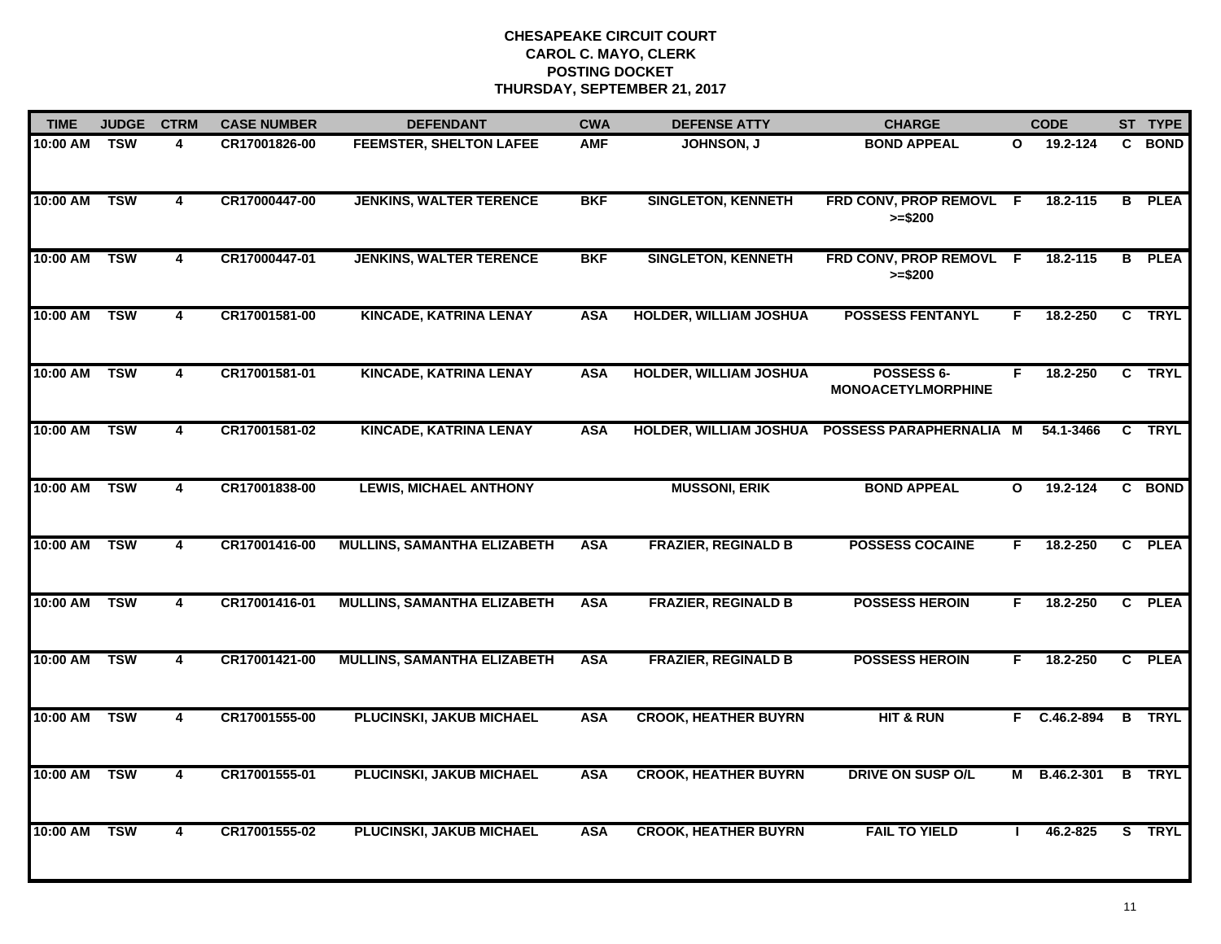| <b>TIME</b>  | <b>JUDGE</b> | <b>CTRM</b>             | <b>CASE NUMBER</b> | <b>DEFENDANT</b>                   | <b>CWA</b> | <b>DEFENSE ATTY</b>           | <b>CHARGE</b>                                  |              | <b>CODE</b>  |    | ST TYPE       |
|--------------|--------------|-------------------------|--------------------|------------------------------------|------------|-------------------------------|------------------------------------------------|--------------|--------------|----|---------------|
| 10:00 AM     | <b>TSW</b>   | 4                       | CR17001826-00      | <b>FEEMSTER, SHELTON LAFEE</b>     | <b>AMF</b> | <b>JOHNSON, J</b>             | <b>BOND APPEAL</b>                             | O            | 19.2-124     | C. | <b>BOND</b>   |
| 10:00 AM     | <b>TSW</b>   | $\overline{\mathbf{4}}$ | CR17000447-00      | <b>JENKINS, WALTER TERENCE</b>     | <b>BKF</b> | <b>SINGLETON, KENNETH</b>     | FRD CONV, PROP REMOVL F<br>$>= $200$           |              | 18.2-115     |    | <b>B</b> PLEA |
| 10:00 AM     | <b>TSW</b>   | 4                       | CR17000447-01      | <b>JENKINS, WALTER TERENCE</b>     | <b>BKF</b> | <b>SINGLETON, KENNETH</b>     | FRD CONV, PROP REMOVL F<br>$>= $200$           |              | 18.2-115     |    | <b>B</b> PLEA |
| 10:00 AM     | <b>TSW</b>   | 4                       | CR17001581-00      | <b>KINCADE, KATRINA LENAY</b>      | <b>ASA</b> | <b>HOLDER, WILLIAM JOSHUA</b> | <b>POSSESS FENTANYL</b>                        | F            | 18.2-250     |    | C TRYL        |
| 10:00 AM     | <b>TSW</b>   | 4                       | CR17001581-01      | <b>KINCADE, KATRINA LENAY</b>      | <b>ASA</b> | <b>HOLDER, WILLIAM JOSHUA</b> | POSSESS 6-<br><b>MONOACETYLMORPHINE</b>        | F            | 18.2-250     |    | C TRYL        |
| 10:00 AM     | <b>TSW</b>   | 4                       | CR17001581-02      | <b>KINCADE, KATRINA LENAY</b>      | <b>ASA</b> |                               | HOLDER, WILLIAM JOSHUA POSSESS PARAPHERNALIA M |              | 54.1-3466    | C  | TRYL          |
| 10:00 AM     | <b>TSW</b>   | 4                       | CR17001838-00      | <b>LEWIS, MICHAEL ANTHONY</b>      |            | <b>MUSSONI, ERIK</b>          | <b>BOND APPEAL</b>                             | $\mathbf{o}$ | 19.2-124     |    | C BOND        |
| 10:00 AM     | <b>TSW</b>   | 4                       | CR17001416-00      | <b>MULLINS, SAMANTHA ELIZABETH</b> | <b>ASA</b> | <b>FRAZIER, REGINALD B</b>    | <b>POSSESS COCAINE</b>                         | F.           | 18.2-250     |    | C PLEA        |
| 10:00 AM     | <b>TSW</b>   | 4                       | CR17001416-01      | <b>MULLINS, SAMANTHA ELIZABETH</b> | <b>ASA</b> | <b>FRAZIER, REGINALD B</b>    | <b>POSSESS HEROIN</b>                          | F            | 18.2-250     |    | C PLEA        |
| 10:00 AM TSW |              | 4                       | CR17001421-00      | <b>MULLINS, SAMANTHA ELIZABETH</b> | <b>ASA</b> | <b>FRAZIER, REGINALD B</b>    | <b>POSSESS HEROIN</b>                          | F.           | 18.2-250     |    | C PLEA        |
| 10:00 AM     | <b>TSW</b>   | 4                       | CR17001555-00      | PLUCINSKI, JAKUB MICHAEL           | <b>ASA</b> | <b>CROOK, HEATHER BUYRN</b>   | <b>HIT &amp; RUN</b>                           |              | F C.46.2-894 |    | <b>B</b> TRYL |
| 10:00 AM     | <b>TSW</b>   | $\overline{4}$          | CR17001555-01      | PLUCINSKI, JAKUB MICHAEL           | <b>ASA</b> | <b>CROOK, HEATHER BUYRN</b>   | <b>DRIVE ON SUSP O/L</b>                       | М            | B.46.2-301   |    | <b>B</b> TRYL |
| 10:00 AM     | <b>TSW</b>   | 4                       | CR17001555-02      | <b>PLUCINSKI, JAKUB MICHAEL</b>    | <b>ASA</b> | <b>CROOK, HEATHER BUYRN</b>   | <b>FAIL TO YIELD</b>                           |              | 46.2-825     |    | S TRYL        |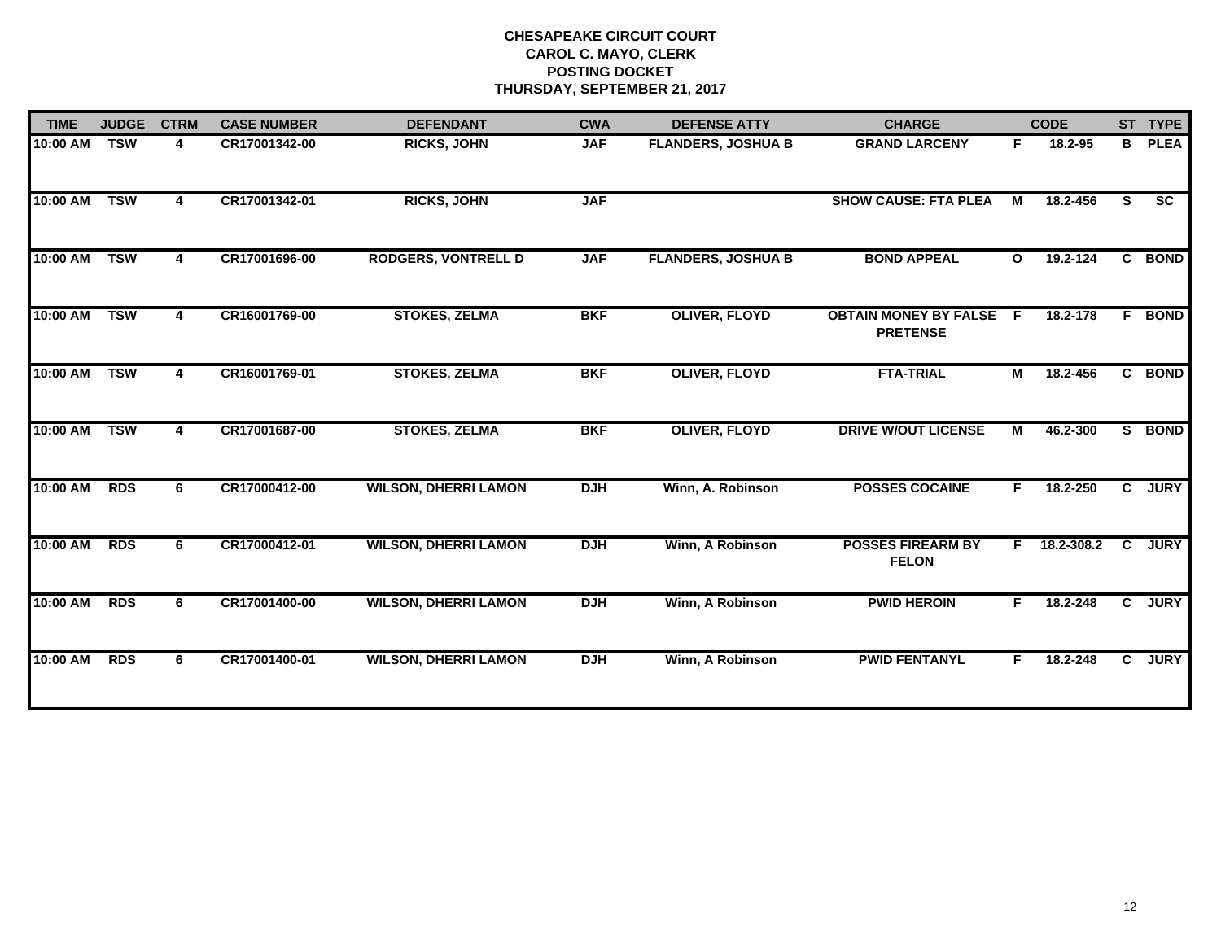| <b>TIME</b> | <b>JUDGE</b> | <b>CTRM</b> | <b>CASE NUMBER</b> | <b>DEFENDANT</b>            | <b>CWA</b> | <b>DEFENSE ATTY</b>       | <b>CHARGE</b>                                   |                | <b>CODE</b> |                | ST TYPE     |
|-------------|--------------|-------------|--------------------|-----------------------------|------------|---------------------------|-------------------------------------------------|----------------|-------------|----------------|-------------|
| 10:00 AM    | <b>TSW</b>   | 4           | CR17001342-00      | <b>RICKS, JOHN</b>          | <b>JAF</b> | <b>FLANDERS, JOSHUA B</b> | <b>GRAND LARCENY</b>                            | F.             | 18.2-95     | B              | <b>PLEA</b> |
| 10:00 AM    | <b>TSW</b>   | 4           | CR17001342-01      | <b>RICKS, JOHN</b>          | <b>JAF</b> |                           | <b>SHOW CAUSE: FTA PLEA</b>                     | М              | 18.2-456    | S.             | SC          |
| 10:00 AM    | <b>TSW</b>   | 4           | CR17001696-00      | <b>RODGERS, VONTRELL D</b>  | <b>JAF</b> | <b>FLANDERS, JOSHUA B</b> | <b>BOND APPEAL</b>                              | $\mathbf{o}$   | 19.2-124    | C              | <b>BOND</b> |
| 10:00 AM    | <b>TSW</b>   | 4           | CR16001769-00      | <b>STOKES, ZELMA</b>        | <b>BKF</b> | <b>OLIVER, FLOYD</b>      | <b>OBTAIN MONEY BY FALSE</b><br><b>PRETENSE</b> | -F             | 18.2-178    |                | F BOND      |
| 10:00 AM    | <b>TSW</b>   | 4           | CR16001769-01      | <b>STOKES, ZELMA</b>        | <b>BKF</b> | <b>OLIVER, FLOYD</b>      | <b>FTA-TRIAL</b>                                | $\overline{M}$ | 18.2-456    |                | C BOND      |
| 10:00 AM    | <b>TSW</b>   | 4           | CR17001687-00      | <b>STOKES, ZELMA</b>        | <b>BKF</b> | <b>OLIVER, FLOYD</b>      | <b>DRIVE W/OUT LICENSE</b>                      | М              | 46.2-300    |                | S BOND      |
| 10:00 AM    | <b>RDS</b>   | 6           | CR17000412-00      | <b>WILSON, DHERRI LAMON</b> | <b>DJH</b> | Winn, A. Robinson         | <b>POSSES COCAINE</b>                           | F.             | 18.2-250    |                | C JURY      |
| 10:00 AM    | <b>RDS</b>   | 6           | CR17000412-01      | <b>WILSON, DHERRI LAMON</b> | <b>DJH</b> | Winn, A Robinson          | <b>POSSES FIREARM BY</b><br><b>FELON</b>        | F.             | 18.2-308.2  | $\overline{c}$ | <b>JURY</b> |
| 10:00 AM    | <b>RDS</b>   | 6           | CR17001400-00      | <b>WILSON, DHERRI LAMON</b> | <b>DJH</b> | Winn, A Robinson          | <b>PWID HEROIN</b>                              | F.             | 18.2-248    |                | C JURY      |
| 10:00 AM    | <b>RDS</b>   | 6           | CR17001400-01      | <b>WILSON, DHERRI LAMON</b> | <b>DJH</b> | Winn, A Robinson          | <b>PWID FENTANYL</b>                            | F.             | 18.2-248    | $\mathbf{c}$   | <b>JURY</b> |